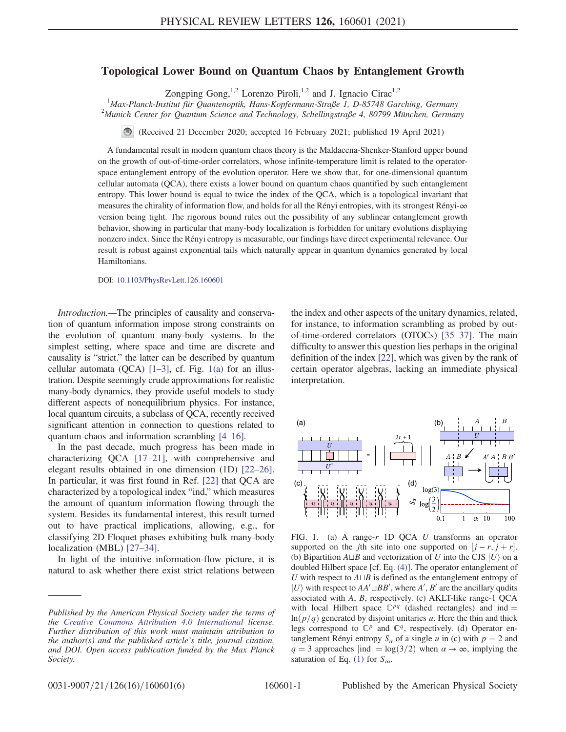## Topological Lower Bound on Quantum Chaos by Entanglement Growth

Zongping  $Gong$ ,<sup>1,2</sup> Lorenzo Piroli,<sup>1,2</sup> and J. Ignacio Cirac<sup>1,2</sup>

<sup>1</sup>Max-Planck-Institut für Quantenoptik, Hans-Kopfermann-Straße I, D-85748 Garching, Germany<br><sup>2</sup>Munick Center for Quantum Science and Technology, Schellingstraße 4, 80700 München, German <sup>2</sup>Munich Center for Quantum Science and Technology, Schellingstraße 4, 80799 München, Germany

(Received 21 December 2020; accepted 16 February 2021; published 19 April 2021)

A fundamental result in modern quantum chaos theory is the Maldacena-Shenker-Stanford upper bound on the growth of out-of-time-order correlators, whose infinite-temperature limit is related to the operatorspace entanglement entropy of the evolution operator. Here we show that, for one-dimensional quantum cellular automata (QCA), there exists a lower bound on quantum chaos quantified by such entanglement entropy. This lower bound is equal to twice the index of the QCA, which is a topological invariant that measures the chirality of information flow, and holds for all the Rényi entropies, with its strongest Rényi-∞ version being tight. The rigorous bound rules out the possibility of any sublinear entanglement growth behavior, showing in particular that many-body localization is forbidden for unitary evolutions displaying nonzero index. Since the Rényi entropy is measurable, our findings have direct experimental relevance. Our result is robust against exponential tails which naturally appear in quantum dynamics generated by local Hamiltonians.

DOI: [10.1103/PhysRevLett.126.160601](https://doi.org/10.1103/PhysRevLett.126.160601)

Introduction.—The principles of causality and conservation of quantum information impose strong constraints on the evolution of quantum many-body systems. In the simplest setting, where space and time are discrete and causality is "strict." the latter can be described by quantum cellular automata (QCA)  $[1-3]$  $[1-3]$ , cf. Fig. [1\(a\)](#page-0-0) for an illustration. Despite seemingly crude approximations for realistic many-body dynamics, they provide useful models to study different aspects of nonequilibrium physics. For instance, local quantum circuits, a subclass of QCA, recently received significant attention in connection to questions related to quantum chaos and information scrambling [4–[16\].](#page-4-1)

In the past decade, much progress has been made in characterizing QCA [17–[21\],](#page-4-2) with comprehensive and elegant results obtained in one dimension (1D) [\[22](#page-4-3)–26]. In particular, it was first found in Ref. [\[22\]](#page-4-3) that QCA are characterized by a topological index "ind," which measures the amount of quantum information flowing through the system. Besides its fundamental interest, this result turned out to have practical implications, allowing, e.g., for classifying 2D Floquet phases exhibiting bulk many-body localization (MBL) [27–[34\].](#page-4-4)

In light of the intuitive information-flow picture, it is natural to ask whether there exist strict relations between the index and other aspects of the unitary dynamics, related, for instance, to information scrambling as probed by outof-time-ordered correlators (OTOCs) [35–[37\].](#page-4-5) The main difficulty to answer this question lies perhaps in the original definition of the index [\[22\]](#page-4-3), which was given by the rank of certain operator algebras, lacking an immediate physical interpretation.

<span id="page-0-0"></span>

FIG. 1. (a) A range-r 1D QCA U transforms an operator supported on the *j*th site into one supported on  $[j - r, j + r]$ .<br>(b) Binartition  $A \cup B$  and vectorization of *U* into the CIS  $|I/\rangle$  on a (b) Bipartition  $A \sqcup B$  and vectorization of U into the CJS  $|U\rangle$  on a doubled Hilbert space [cf. Eq. [\(4\)\]](#page-1-0). The operator entanglement of *U* with respect to  $A \sqcup B$  is defined as the entanglement entropy of  $|U\rangle$  with respect to  $AA' \sqcup BB'$ , where  $A', B'$  are the ancillary qudits associated with A R respectively (c) AKI T-like range-1 OCA associated with A, B, respectively. (c) AKLT-like range-1 QCA with local Hilbert space  $\mathbb{C}^{pq}$  (dashed rectangles) and ind =  $ln(p/q)$  generated by disjoint unitaries u. Here the thin and thick legs correspond to  $\mathbb{C}^p$  and  $\mathbb{C}^q$ , respectively. (d) Operator entanglement Rényi entropy  $S_\alpha$  of a single u in (c) with  $p = 2$  and  $q = 3$  approaches  $\vert \text{ind} \vert = \log(3/2)$  when  $\alpha \to \infty$ , implying the saturation of Eq. [\(1\)](#page-1-1) for  $S_{\infty}$ .

Published by the American Physical Society under the terms of the [Creative Commons Attribution 4.0 International](https://creativecommons.org/licenses/by/4.0/) license. Further distribution of this work must maintain attribution to the author(s) and the published article's title, journal citation, and DOI. Open access publication funded by the Max Planck Society.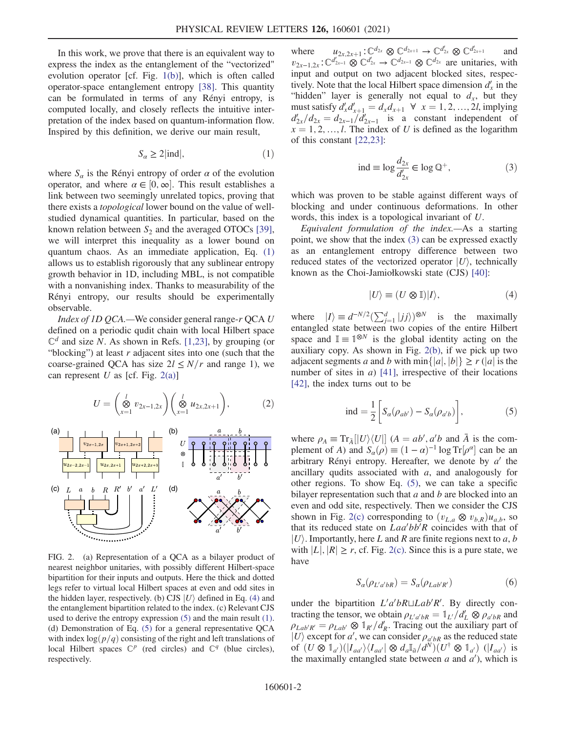In this work, we prove that there is an equivalent way to express the index as the entanglement of the "vectorized" evolution operator [cf. Fig. [1\(b\)\]](#page-0-0), which is often called operator-space entanglement entropy [\[38\]](#page-5-0). This quantity can be formulated in terms of any Rényi entropy, is computed locally, and closely reflects the intuitive interpretation of the index based on quantum-information flow. Inspired by this definition, we derive our main result,

$$
S_{\alpha} \ge 2|\text{ind}|,\tag{1}
$$

<span id="page-1-1"></span>where  $S_{\alpha}$  is the Rényi entropy of order  $\alpha$  of the evolution operator, and where  $\alpha \in [0, \infty]$ . This result establishes a<br>link between two seemingly unrelated tonics proving that link between two seemingly unrelated topics, proving that there exists a topological lower bound on the value of wellstudied dynamical quantities. In particular, based on the known relation between  $S_2$  and the averaged OTOCs [\[39\]](#page-5-1), we will interpret this inequality as a lower bound on quantum chaos. As an immediate application, Eq. [\(1\)](#page-1-1) allows us to establish rigorously that any sublinear entropy growth behavior in 1D, including MBL, is not compatible with a nonvanishing index. Thanks to measurability of the Rényi entropy, our results should be experimentally observable.

Index of 1D QCA.—We consider general range-r QCA U defined on a periodic qudit chain with local Hilbert space  $\mathbb{C}^d$  and size N. As shown in Refs. [\[1,23\],](#page-4-0) by grouping (or "blocking") at least  $r$  adjacent sites into one (such that the coarse-grained QCA has size  $2l \leq N/r$  and range 1), we can represent  $U$  as [cf. Fig. [2\(a\)](#page-1-2)]

$$
U = \left(\bigotimes_{x=1}^{l} v_{2x-1,2x}\right) \left(\bigotimes_{x=1}^{l} u_{2x,2x+1}\right), \tag{2}
$$

<span id="page-1-2"></span>

FIG. 2. (a) Representation of a QCA as a bilayer product of nearest neighbor unitaries, with possibly different Hilbert-space bipartition for their inputs and outputs. Here the thick and dotted legs refer to virtual local Hilbert spaces at even and odd sites in the hidden layer, respectively. (b) CJS  $|U\rangle$  defined in Eq. [\(4\)](#page-1-0) and the entanglement bipartition related to the index. (c) Relevant CJS used to derive the entropy expression [\(5\)](#page-1-4) and the main result [\(1\).](#page-1-1) (d) Demonstration of Eq. [\(5\)](#page-1-4) for a general representative QCA with index  $log(p/q)$  consisting of the right and left translations of local Hilbert spaces  $\mathbb{C}^p$  (red circles) and  $\mathbb{C}^q$  (blue circles), respectively.

where  $u_{2x,2x+1}: \mathbb{C}^{d_{2x}} \otimes \mathbb{C}^{d_{2x+1}} \to \mathbb{C}^{d'_{2x}} \otimes \mathbb{C}^{d'_{2x+1}}$  and  $v_{2x-1,2x}$ :  $\mathbb{C}^{d'_{2x-1}} \otimes \mathbb{C}^{d'_{2x}} \to \mathbb{C}^{d_{2x-1}} \otimes \mathbb{C}^{d_{2x}}$  are unitaries, with input and output on two adjacent blocked sites, respectively. Note that the local Hilbert space dimension  $d'_x$  in the "hidden" layer is generally not equal to  $d_x$ , but they must satisfy  $d'_x d'_{x+1} = d_x d_{x+1} \ \forall \ x = 1, 2, ..., 2l$ , implying  $d'_x$   $/d_x = d_0 \cdot d'_y$  is a constant independent of  $d'_{2x}/d_{2x} = d_{2x-1}/d'_{2x-1}$  is a constant independent of  $x-1, 2, ...$  The index of *U* is defined as the logarithm  $x = 1, 2, \ldots, l$ . The index of U is defined as the logarithm of this constant [\[22,23\]:](#page-4-3)

$$
ind \equiv \log \frac{d_{2x}}{d'_{2x}} \in \log \mathbb{Q}^{+},\tag{3}
$$

<span id="page-1-3"></span>which was proven to be stable against different ways of blocking and under continuous deformations. In other words, this index is a topological invariant of U.

<span id="page-1-0"></span>Equivalent formulation of the index.—As a starting point, we show that the index [\(3\)](#page-1-3) can be expressed exactly as an entanglement entropy difference between two reduced states of the vectorized operator  $|U\rangle$ , technically known as the Choi-Jamiołkowski state (CJS) [\[40\]:](#page-5-2)

$$
|U\rangle \equiv (U \otimes \mathbb{I})|I\rangle, \tag{4}
$$

where  $|I\rangle \equiv d^{-N/2} \left(\sum_{j=1}^d |jj\rangle\right)^{\otimes N}$  is the maximally entangled state between two copies of the entire Hilbert space and  $\mathbb{I} \equiv \mathbb{1}^{\otimes N}$  is the global identity acting on the auxiliary copy. As shown in Fig. [2\(b\),](#page-1-2) if we pick up two adjacent segments a and b with  $\min\{|a|, |b|\} \ge r (|a|)$  is the number of sites in  $a$ ) [\[41\]](#page-5-3), irrespective of their locations [\[42\]](#page-5-4), the index turns out to be

$$
\text{ind} = \frac{1}{2} \left[ S_{\alpha}(\rho_{ab'}) - S_{\alpha}(\rho_{a'b}) \right],\tag{5}
$$

<span id="page-1-4"></span>where  $\rho_A \equiv \text{Tr}_{\bar{A}}[|U\rangle\langle U|]$   $(A = ab', a'b$  and  $\bar{A}$  is the com-<br>plement of A) and  $S'(a) = (1 - a)^{-1} \log \text{Tr}[a^a]$  can be an plement of A) and  $S_{\alpha}(\rho) \equiv (1 - \alpha)^{-1} \log Tr[\rho^{\alpha}]$  can be an arbitrary Rényi entropy. Hereafter, we denote by  $\alpha'$  the arbitrary Rényi entropy. Hereafter, we denote by  $a'$  the ancillary qudits associated with a, and analogously for other regions. To show Eq. [\(5\),](#page-1-4) we can take a specific bilayer representation such that  $a$  and  $b$  are blocked into an even and odd site, respectively. Then we consider the CJS shown in Fig. [2\(c\)](#page-1-2) corresponding to  $(v_{L,a} \otimes v_{b,R})u_{a,b}$ , so that its reduced state on  $Laa'bb'R$  coincides with that of  $|U\rangle$ . Importantly, here L and R are finite regions next to a, b with  $|L|, |R| \ge r$ , cf. Fig. [2\(c\)](#page-1-2). Since this is a pure state, we have

$$
S_{\alpha}(\rho_{L'a'bR}) = S_{\alpha}(\rho_{Lab'R'})
$$
\n(6)

<span id="page-1-5"></span>under the bipartition  $L'a'bR \sqcup Lab'R'$ . By directly contracting the tensor, we obtain  $\rho_{L'd'BR} = \frac{1}{L'} \overline{d'_L} \otimes \rho_{a'BR}$  and  $\rho_{L'd'} = \rho_{L'd'} \otimes \frac{1}{L} \sqrt{d'_L}$ . Tracing out the auxiliary part of  $\rho_{Lab'R'} = \rho_{Lab'} \otimes \mathbb{1}_{R'}/d'_R$ . Tracing out the auxiliary part of  $|IJ\rangle$  except for  $q'$  we can consider  $q$  up as the reduced state U) except for a', we can consider  $\rho_{a'ba}$  as the reduced state<br>of  $(I \otimes \mathbb{1}_{\geq 0})(I \otimes I \otimes I \otimes \mathbb{1}_{\geq 0})(I \otimes I \otimes I \otimes \mathbb{1}_{\geq 0})(I \otimes I \otimes \mathbb{1}_{\geq 0})(I \otimes I \otimes \mathbb{1}_{\geq 0})(I \otimes I \otimes \mathbb{1}_{\geq 0})(I \otimes I \otimes \mathbb{1}_{\geq 0})(I \otimes I \otimes$ of  $(U \otimes 1_{a})(|I_{aa'}\rangle\langle I_{aa'}| \otimes d_a\mathbb{I}_{\bar{a}}/d^N)(U^{\dagger} \otimes 1_{a'})$   $(|I_{aa'}\rangle$  is the maximally entangled state between  $a$  and  $a'$ ), which is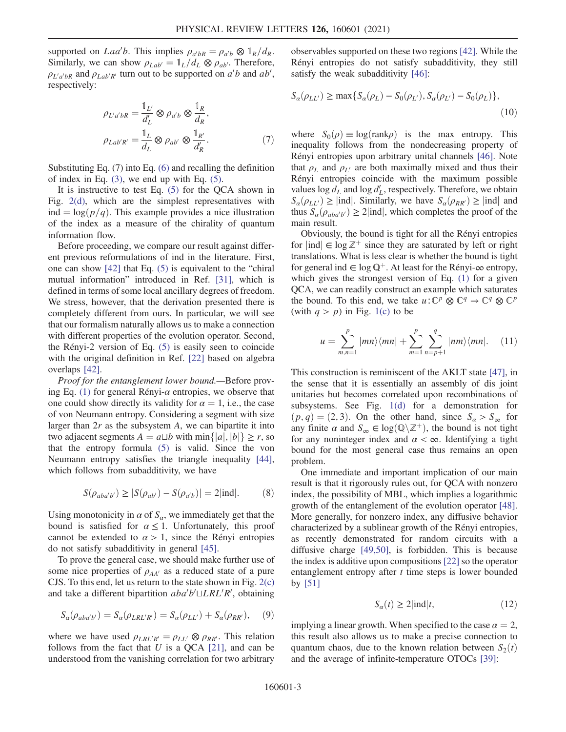supported on *Laa'b*. This implies  $\rho_{a'bR} = \rho_{a'b} \otimes \mathbb{1}_R / d_R$ .<br>Similarly we can show  $\rho_{a'b'} = \mathbb{1}_k / d_L \otimes \rho_{a'b'}$ . Therefore Similarly, we can show  $\rho_{Lab'} = \mathbb{1}_L/d_L \otimes \rho_{ab'}$ . Therefore,  $\rho_{L'a'bR}$  and  $\rho_{Lab'R'}$  turn out to be supported on a'b and ab', respectively:

$$
\rho_{L'a'bR} = \frac{1_{L'}}{d'_{L}} \otimes \rho_{a'b} \otimes \frac{1_{R}}{d_{R}},
$$

$$
\rho_{Lab'R'} = \frac{1_{L}}{d_{L}} \otimes \rho_{ab'} \otimes \frac{1_{R'}}{d'_{R}}.
$$
(7)

Substituting Eq. (7) into Eq. [\(6\)](#page-1-5) and recalling the definition of index in Eq. [\(3\),](#page-1-3) we end up with Eq. [\(5\).](#page-1-4)

It is instructive to test Eq. [\(5\)](#page-1-4) for the QCA shown in Fig. [2\(d\),](#page-1-2) which are the simplest representatives with ind =  $\log(p/q)$ . This example provides a nice illustration of the index as a measure of the chirality of quantum information flow.

Before proceeding, we compare our result against different previous reformulations of ind in the literature. First, one can show [\[42\]](#page-5-4) that Eq. [\(5\)](#page-1-4) is equivalent to the "chiral mutual information" introduced in Ref. [\[31\],](#page-4-6) which is defined in terms of some local ancillary degrees of freedom. We stress, however, that the derivation presented there is completely different from ours. In particular, we will see that our formalism naturally allows us to make a connection with different properties of the evolution operator. Second, the Rényi-2 version of Eq.  $(5)$  is easily seen to coincide with the original definition in Ref. [\[22\]](#page-4-3) based on algebra overlaps [\[42\].](#page-5-4)

Proof for the entanglement lower bound.—Before prov-ing Eq. [\(1\)](#page-1-1) for general Rényi- $\alpha$  entropies, we observe that one could show directly its validity for  $\alpha = 1$ , i.e., the case of von Neumann entropy. Considering a segment with size larger than  $2r$  as the subsystem  $A$ , we can bipartite it into two adjacent segments  $A = a \sqcup b$  with min $\{|a|, |b|\} \ge r$ , so that the entropy formula [\(5\)](#page-1-4) is valid. Since the von Neumann entropy satisfies the triangle inequality [\[44\]](#page-5-5), which follows from subadditivity, we have

$$
S(\rho_{aba'b'}) \ge |S(\rho_{ab'}) - S(\rho_{a'b})| = 2|\text{ind}|.
$$
 (8)

Using monotonicity in  $\alpha$  of  $S_{\alpha}$ , we immediately get that the bound is satisfied for  $\alpha \leq 1$ . Unfortunately, this proof cannot be extended to  $\alpha > 1$ , since the Rényi entropies do not satisfy subadditivity in general [\[45\].](#page-5-6)

To prove the general case, we should make further use of some nice properties of  $\rho_{AA'}$  as a reduced state of a pure CJS. To this end, let us return to the state shown in Fig. [2\(c\)](#page-1-2) and take a different bipartition  $aba'b' \sqcup LRL'R'$ , obtaining

$$
S_{\alpha}(\rho_{aba'b'}) = S_{\alpha}(\rho_{LRL'R'}) = S_{\alpha}(\rho_{LL'}) + S_{\alpha}(\rho_{RR'}), \quad (9)
$$

where we have used  $\rho_{LRL'R'} = \rho_{LL'} \otimes \rho_{RR'}$ . This relation follows from the fact that *U* is a OCA [21] and can be follows from the fact that  $U$  is a QCA [\[21\],](#page-4-7) and can be understood from the vanishing correlation for two arbitrary observables supported on these two regions [\[42\].](#page-5-4) While the Rényi entropies do not satisfy subadditivity, they still satisfy the weak subadditivity [\[46\]](#page-5-7):

$$
S_{\alpha}(\rho_{LL'}) \ge \max\{S_{\alpha}(\rho_L) - S_0(\rho_{L'}), S_{\alpha}(\rho_{L'}) - S_0(\rho_L)\},
$$
\n(10)

where  $S_0(\rho) \equiv \log(\text{rank}\rho)$  is the max entropy. This inequality follows from the nondecreasing property of Rényi entropies upon arbitrary unital channels [\[46\].](#page-5-7) Note that  $\rho_L$  and  $\rho_{L'}$  are both maximally mixed and thus their Rényi entropies coincide with the maximum possible values  $\log d_L$  and  $\log d_L'$ , respectively. Therefore, we obtain  $S_{\alpha}(\rho_{LL}) \geq |{\text{ind}}|$ . Similarly, we have  $S_{\alpha}(\rho_{RR}) \geq |{\text{ind}}|$  and thus  $S_{\alpha}(\rho_{aba'b'}) \ge 2|\text{ind}|$ , which completes the proof of the main result main result.

Obviously, the bound is tight for all the Rényi entropies for  $\vert \text{ind} \vert \in \log \mathbb{Z}^+$  since they are saturated by left or right translations. What is less clear is whether the bound is tight for general ind  $\in$  log  $\mathbb{Q}^+$ . At least for the Rényi- $\infty$  entropy, which gives the strongest version of Eq. [\(1\)](#page-1-1) for a given QCA, we can readily construct an example which saturates the bound. To this end, we take  $u: \mathbb{C}^p \otimes \mathbb{C}^q \to \mathbb{C}^q \otimes \mathbb{C}^p$ (with  $q>p$ ) in Fig. [1\(c\)](#page-0-0) to be

$$
u = \sum_{m,n=1}^{p} |mn\rangle\langle mn| + \sum_{m=1}^{p} \sum_{n=p+1}^{q} |nm\rangle\langle mn|.
$$
 (11)

This construction is reminiscent of the AKLT state [\[47\],](#page-5-8) in the sense that it is essentially an assembly of dis joint unitaries but becomes correlated upon recombinations of subsystems. See Fig. [1\(d\)](#page-0-0) for a demonstration for  $(p, q) = (2, 3)$ . On the other hand, since  $S_{\alpha} > S_{\infty}$  for any finite  $\alpha$  and  $S_{\infty} \in \log(\mathbb{Q}\setminus \mathbb{Z}^+)$ , the bound is not tight for any noninteger index and  $\alpha < \infty$ . Identifying a tight bound for the most general case thus remains an open problem.

One immediate and important implication of our main result is that it rigorously rules out, for QCA with nonzero index, the possibility of MBL, which implies a logarithmic growth of the entanglement of the evolution operator [\[48\]](#page-5-9). More generally, for nonzero index, any diffusive behavior characterized by a sublinear growth of the Rényi entropies, as recently demonstrated for random circuits with a diffusive charge [\[49,50\],](#page-5-10) is forbidden. This is because the index is additive upon compositions [\[22\]](#page-4-3) so the operator entanglement entropy after  $t$  time steps is lower bounded by [\[51\]](#page-5-11)

$$
S_{\alpha}(t) \ge 2|\text{ind}|t,\tag{12}
$$

<span id="page-2-0"></span>implying a linear growth. When specified to the case  $\alpha = 2$ , this result also allows us to make a precise connection to quantum chaos, due to the known relation between  $S_2(t)$ and the average of infinite-temperature OTOCs [\[39\]:](#page-5-1)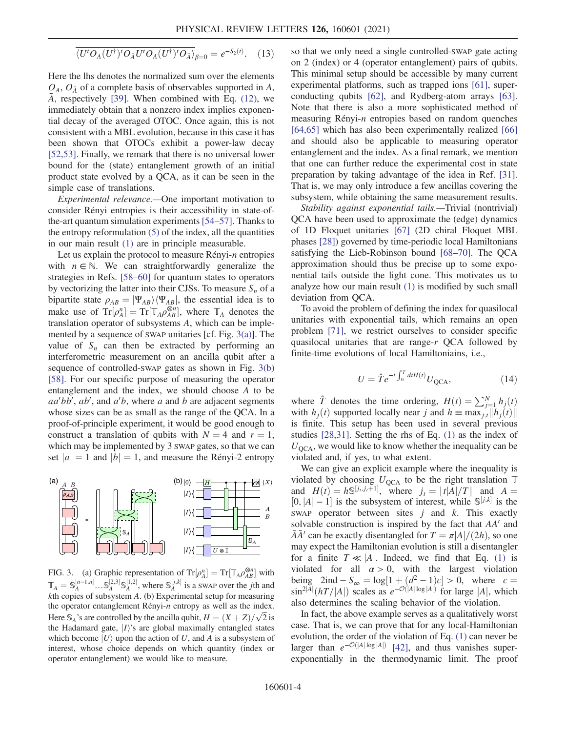$$
\langle U^{\dagger}O_{A}(U^{\dagger})^{\dagger}O_{\bar{A}}U^{\dagger}O_{A}(U^{\dagger})^{\dagger}O_{\bar{A}}\rangle_{\beta=0}=e^{-S_{2}(t)}.
$$
 (13)

Here the lhs denotes the normalized sum over the elements  $O_A$ ,  $O_{\bar{A}}$  of a complete basis of observables supported in A, A, respectively  $[39]$ . When combined with Eq.  $(12)$ , we immediately obtain that a nonzero index implies exponential decay of the averaged OTOC. Once again, this is not consistent with a MBL evolution, because in this case it has been shown that OTOCs exhibit a power-law decay [\[52,53\]](#page-5-12). Finally, we remark that there is no universal lower bound for the (state) entanglement growth of an initial product state evolved by a QCA, as it can be seen in the simple case of translations.

Experimental relevance.—One important motivation to consider Rényi entropies is their accessibility in state-ofthe-art quantum simulation experiments [\[54](#page-5-13)–57]. Thanks to the entropy reformulation  $(5)$  of the index, all the quantities in our main result [\(1\)](#page-1-1) are in principle measurable.

Let us explain the protocol to measure  $\mathsf{R}\text{\'{e}}$ nyi-n entropies with  $n \in \mathbb{N}$ . We can straightforwardly generalize the strategies in Refs. [\[58](#page-5-14)–60] for quantum states to operators by vectorizing the latter into their CJSs. To measure  $S_n$  of a bipartite state  $\rho_{AB} = |\Psi_{AB}\rangle\langle\Psi_{AB}|$ , the essential idea is to make use of  $Tr[\hat{\rho}_A^n] = Tr[T_A \rho_{AB}^{\otimes n}]$ , where  $T_A$  denotes the translation operator of subsystems A which can be impletranslation operator of subsystems A, which can be implemented by a sequence of SWAP unitaries [cf. Fig. [3\(a\)](#page-3-0)]. The value of  $S_n$  can then be extracted by performing an interferometric measurement on an ancilla qubit after a sequence of controlled-SWAP gates as shown in Fig. [3\(b\)](#page-3-0) [\[58\]](#page-5-14). For our specific purpose of measuring the operator entanglement and the index, we should choose A to be  $aa'bb'$ ,  $ab'$ , and  $a'b$ , where a and b are adjacent segments whose sizes can be as small as the range of the QCA. In a proof-of-principle experiment, it would be good enough to construct a translation of qubits with  $N = 4$  and  $r = 1$ , which may be implemented by 3 SWAP gates, so that we can set  $|a| = 1$  and  $|b| = 1$ , and measure the Rényi-2 entropy

<span id="page-3-0"></span>

FIG. 3. (a) Graphic representation of  $\text{Tr}[\rho_A^n] = \text{Tr}[\mathbb{T}_A \rho_{AB}^{\otimes n}]$  with FIG. 5. (a) Graphic representation of  $\text{Tr}[\rho_A^2] = \text{Tr}[\mathbb{I}_A \rho_{AB}^2]$  with<br>  $\mathbb{T}_A = \mathbb{S}_A^{[n-1,n]} \dots \mathbb{S}_A^{[2,3]} \mathbb{S}_A^{[1,2]}$ , where  $\mathbb{S}_A^{[j,k]}$  is a swap over the *j*th and<br> *k*th conjes of subsystem *A* (b) Expe kth copies of subsystem A. (b) Experimental setup for measuring the operator entanglement  $\mathsf{R\'{e}}$ nyi-n entropy as well as the index. Here  $\mathbb{S}_A$ 's are controlled by the ancilla qubit,  $H = (X + Z)/\sqrt{2}$  is the Hadamard gate  $|I\rangle$ 's are global maximally entangled states the Hadamard gate,  $|I\rangle$ 's are global maximally entangled states which become  $|U\rangle$  upon the action of U, and A is a subsystem of interest, whose choice depends on which quantity (index or operator entanglement) we would like to measure.

so that we only need a single controlled-SWAP gate acting on 2 (index) or 4 (operator entanglement) pairs of qubits. This minimal setup should be accessible by many current experimental platforms, such as trapped ions [\[61\],](#page-5-15) superconducting qubits [\[62\]](#page-5-16), and Rydberg-atom arrays [\[63\]](#page-5-17). Note that there is also a more sophisticated method of measuring  $\mathsf{R}\acute{e}n$  entropies based on random quenches [\[64,65\]](#page-5-18) which has also been experimentally realized [\[66\]](#page-5-19) and should also be applicable to measuring operator entanglement and the index. As a final remark, we mention that one can further reduce the experimental cost in state preparation by taking advantage of the idea in Ref. [\[31\]](#page-4-6). That is, we may only introduce a few ancillas covering the subsystem, while obtaining the same measurement results.

Stability against exponential tails.—Trivial (nontrivial) QCA have been used to approximate the (edge) dynamics of 1D Floquet unitaries [\[67\]](#page-5-20) (2D chiral Floquet MBL phases [\[28\]\)](#page-4-8) governed by time-periodic local Hamiltonians satisfying the Lieb-Robinson bound [\[68](#page-5-21)–70]. The QCA approximation should thus be precise up to some exponential tails outside the light cone. This motivates us to analyze how our main result [\(1\)](#page-1-1) is modified by such small deviation from QCA.

To avoid the problem of defining the index for quasilocal unitaries with exponential tails, which remains an open problem [\[71\],](#page-5-22) we restrict ourselves to consider specific quasilocal unitaries that are range-r QCA followed by finite-time evolutions of local Hamiltoniains, i.e.,

$$
U = \hat{T}e^{-i\int_0^T dt H(t)}U_{\text{QCA}},
$$
\n(14)

where  $\hat{T}$  denotes the time ordering,  $H(t) = \sum_{j=1}^{N} h_j(t)$ <br>with  $h_i(t)$  supported locally near i and  $h = \max_{i} \frac{\|h_i(t)\|}{\|h_i(t)\|}$ with  $h_i(t)$  supported locally near j and  $h \equiv \max_{i,t} ||h_i(t)||$ is finite. This setup has been used in several previous studies [\[28,31\].](#page-4-8) Setting the rhs of Eq. [\(1\)](#page-1-1) as the index of  $U<sub>OCA</sub>$ , we would like to know whether the inequality can be violated and, if yes, to what extent.

We can give an explicit example where the inequality is violated by choosing  $U_{\text{QCA}}$  to be the right translation  $\mathbb T$ and  $H(t) = h\mathbb{S}^{[j_t, j_t+1]}$ , where  $j_t = \lfloor t |A|/T \rfloor$  and  $A =$ <br>[0 |A| – 1] is the subsystem of interest while  $\mathbb{S}^{[j,k]}$  is the  $[0, |A| - 1]$  is the subsystem of interest, while  $\mathbb{S}^{[j,k]}$  is the system operator, between sites i and k. This exactly SWAP operator between sites  $j$  and  $k$ . This exactly solvable construction is inspired by the fact that  $AA'$  and  $\overline{A}\overline{A}^{\prime}$  can be exactly disentangled for  $T = \pi |A|/(2h)$ , so one may expect the Hamiltonian evolution is still a disentangler for a finite  $T \ll |A|$ . Indeed, we find that Eq. [\(1\)](#page-1-1) is violated for all  $\alpha > 0$ , with the largest violation being 2ind  $-S_{\infty} = \log[1 + (d^2 - 1)\epsilon] > 0$ , where  $\epsilon = \sin^{2|A|} (hT/|A|)$  scales as  $e^{-\mathcal{O}(|A| \log |A|)}$  for large  $|A|$ , which also determines the scaling behavior of the violation also determines the scaling behavior of the violation.

In fact, the above example serves as a qualitatively worst case. That is, we can prove that for any local-Hamiltonian evolution, the order of the violation of Eq. [\(1\)](#page-1-1) can never be larger than  $e^{-O(|A|\log|A|)}$  [\[42\],](#page-5-4) and thus vanishes superexponentially in the thermodynamic limit. The proof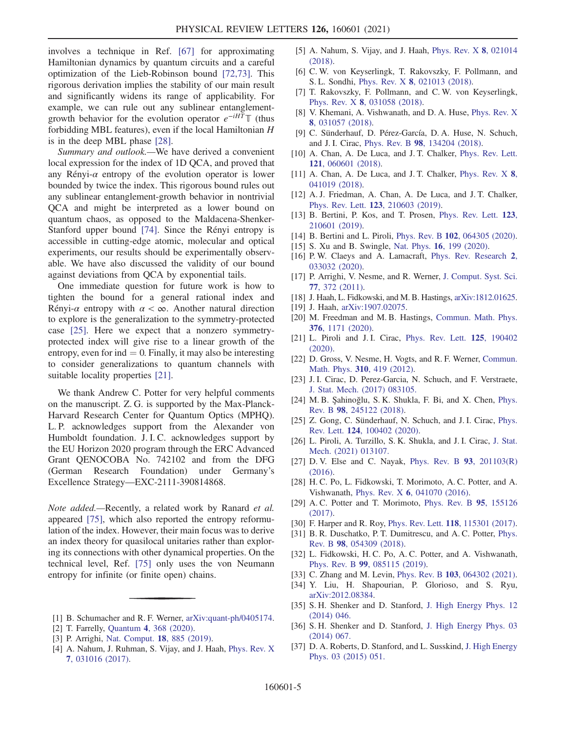involves a technique in Ref. [\[67\]](#page-5-20) for approximating Hamiltonian dynamics by quantum circuits and a careful optimization of the Lieb-Robinson bound [\[72,73\].](#page-5-23) This rigorous derivation implies the stability of our main result and significantly widens its range of applicability. For example, we can rule out any sublinear entanglementgrowth behavior for the evolution operator  $e^{-iHT}$  (thus forbidding MBL features), even if the local Hamiltonian  $H$ is in the deep MBL phase [\[28\].](#page-4-8)

Summary and outlook.—We have derived a convenient local expression for the index of 1D QCA, and proved that any Rényi- $\alpha$  entropy of the evolution operator is lower bounded by twice the index. This rigorous bound rules out any sublinear entanglement-growth behavior in nontrivial QCA and might be interpreted as a lower bound on quantum chaos, as opposed to the Maldacena-Shenker-Stanford upper bound [\[74\]](#page-5-24). Since the Rényi entropy is accessible in cutting-edge atomic, molecular and optical experiments, our results should be experimentally observable. We have also discussed the validity of our bound against deviations from QCA by exponential tails.

One immediate question for future work is how to tighten the bound for a general rational index and Rényi- $\alpha$  entropy with  $\alpha < \infty$ . Another natural direction to explore is the generalization to the symmetry-protected case [\[25\]](#page-4-9). Here we expect that a nonzero symmetryprotected index will give rise to a linear growth of the entropy, even for ind  $= 0$ . Finally, it may also be interesting to consider generalizations to quantum channels with suitable locality properties [\[21\].](#page-4-7)

We thank Andrew C. Potter for very helpful comments on the manuscript. Z. G. is supported by the Max-Planck-Harvard Research Center for Quantum Optics (MPHQ). L. P. acknowledges support from the Alexander von Humboldt foundation. J. I. C. acknowledges support by the EU Horizon 2020 program through the ERC Advanced Grant QENOCOBA No. 742102 and from the DFG (German Research Foundation) under Germany's Excellence Strategy—EXC-2111-390814868.

Note added.—Recently, a related work by Ranard et al. appeared [\[75\]](#page-5-25), which also reported the entropy reformulation of the index. However, their main focus was to derive an index theory for quasilocal unitaries rather than exploring its connections with other dynamical properties. On the technical level, Ref. [\[75\]](#page-5-25) only uses the von Neumann entropy for infinite (or finite open) chains.

- <span id="page-4-0"></span>[1] B. Schumacher and R. F. Werner, [arXiv:quant-ph/0405174.](https://arXiv.org/abs/quant-ph/0405174)
- <span id="page-4-1"></span>[2] T. Farrelly, Quantum 4[, 368 \(2020\).](https://doi.org/10.22331/q-2020-11-30-368)
- [3] P. Arrighi, [Nat. Comput.](https://doi.org/10.1007/s11047-019-09762-6) 18, 885 (2019).
- [4] A. Nahum, J. Ruhman, S. Vijay, and J. Haah, [Phys. Rev. X](https://doi.org/10.1103/PhysRevX.7.031016) 7[, 031016 \(2017\)](https://doi.org/10.1103/PhysRevX.7.031016).
- [5] A. Nahum, S. Vijay, and J. Haah, [Phys. Rev. X](https://doi.org/10.1103/PhysRevX.8.021014) 8, 021014 [\(2018\).](https://doi.org/10.1103/PhysRevX.8.021014)
- [6] C. W. von Keyserlingk, T. Rakovszky, F. Pollmann, and S. L. Sondhi, Phys. Rev. X 8[, 021013 \(2018\)](https://doi.org/10.1103/PhysRevX.8.021013).
- [7] T. Rakovszky, F. Pollmann, and C. W. von Keyserlingk, Phys. Rev. X 8[, 031058 \(2018\).](https://doi.org/10.1103/PhysRevX.8.031058)
- [8] V. Khemani, A. Vishwanath, and D. A. Huse, [Phys. Rev. X](https://doi.org/10.1103/PhysRevX.8.031057) 8[, 031057 \(2018\)](https://doi.org/10.1103/PhysRevX.8.031057).
- [9] C. Sünderhauf, D. Pérez-García, D. A. Huse, N. Schuch, and J. I. Cirac, Phys. Rev. B 98[, 134204 \(2018\).](https://doi.org/10.1103/PhysRevB.98.134204)
- [10] A. Chan, A. De Luca, and J. T. Chalker, [Phys. Rev. Lett.](https://doi.org/10.1103/PhysRevLett.121.060601) 121[, 060601 \(2018\).](https://doi.org/10.1103/PhysRevLett.121.060601)
- [11] A. Chan, A. De Luca, and J. T. Chalker, [Phys. Rev. X](https://doi.org/10.1103/PhysRevX.8.041019) 8, [041019 \(2018\).](https://doi.org/10.1103/PhysRevX.8.041019)
- [12] A. J. Friedman, A. Chan, A. De Luca, and J. T. Chalker, Phys. Rev. Lett. 123[, 210603 \(2019\).](https://doi.org/10.1103/PhysRevLett.123.210603)
- [13] B. Bertini, P. Kos, and T. Prosen, [Phys. Rev. Lett.](https://doi.org/10.1103/PhysRevLett.123.210601) 123, [210601 \(2019\).](https://doi.org/10.1103/PhysRevLett.123.210601)
- [14] B. Bertini and L. Piroli, Phys. Rev. B 102[, 064305 \(2020\).](https://doi.org/10.1103/PhysRevB.102.064305)
- [15] S. Xu and B. Swingle, Nat. Phys. **16**[, 199 \(2020\).](https://doi.org/10.1038/s41567-019-0712-4)
- [16] P. W. Claeys and A. Lamacraft, [Phys. Rev. Research](https://doi.org/10.1103/PhysRevResearch.2.033032) 2, [033032 \(2020\).](https://doi.org/10.1103/PhysRevResearch.2.033032)
- <span id="page-4-2"></span>[17] P. Arrighi, V. Nesme, and R. Werner, [J. Comput. Syst. Sci.](https://doi.org/10.1016/j.jcss.2010.05.004) 77[, 372 \(2011\).](https://doi.org/10.1016/j.jcss.2010.05.004)
- [18] J. Haah, L. Fidkowski, and M. B. Hastings, [arXiv:1812.01625.](https://arXiv.org/abs/1812.01625)
- [19] J. Haah, [arXiv:1907.02075.](https://arXiv.org/abs/1907.02075)
- [20] M. Freedman and M. B. Hastings, [Commun. Math. Phys.](https://doi.org/10.1007/s00220-020-03735-y) 376[, 1171 \(2020\)](https://doi.org/10.1007/s00220-020-03735-y).
- <span id="page-4-7"></span>[21] L. Piroli and J.I. Cirac, [Phys. Rev. Lett.](https://doi.org/10.1103/PhysRevLett.125.190402) **125**, 190402 [\(2020\).](https://doi.org/10.1103/PhysRevLett.125.190402)
- <span id="page-4-3"></span>[22] D. Gross, V. Nesme, H. Vogts, and R. F. Werner, [Commun.](https://doi.org/10.1007/s00220-012-1423-1) Math. Phys. 310[, 419 \(2012\)](https://doi.org/10.1007/s00220-012-1423-1).
- [23] J. I. Cirac, D. Perez-Garcia, N. Schuch, and F. Verstraete, [J. Stat. Mech. \(2017\) 083105.](https://doi.org/10.1088/1742-5468/aa7e55)
- [24] M. B. Şahinoğlu, S. K. Shukla, F. Bi, and X. Chen, [Phys.](https://doi.org/10.1103/PhysRevB.98.245122) Rev. B 98[, 245122 \(2018\).](https://doi.org/10.1103/PhysRevB.98.245122)
- <span id="page-4-9"></span>[25] Z. Gong, C. Sünderhauf, N. Schuch, and J. I. Cirac, [Phys.](https://doi.org/10.1103/PhysRevLett.124.100402) Rev. Lett. 124[, 100402 \(2020\).](https://doi.org/10.1103/PhysRevLett.124.100402)
- [26] L. Piroli, A. Turzillo, S. K. Shukla, and J. I. Cirac, [J. Stat.](https://doi.org/10.1088/1742-5468/abd30f) [Mech. \(2021\) 013107.](https://doi.org/10.1088/1742-5468/abd30f)
- <span id="page-4-4"></span>[27] D. V. Else and C. Nayak, [Phys. Rev. B](https://doi.org/10.1103/PhysRevB.93.201103) 93, 201103(R) [\(2016\).](https://doi.org/10.1103/PhysRevB.93.201103)
- <span id="page-4-8"></span>[28] H. C. Po, L. Fidkowski, T. Morimoto, A. C. Potter, and A. Vishwanath, Phys. Rev. X 6[, 041070 \(2016\).](https://doi.org/10.1103/PhysRevX.6.041070)
- [29] A. C. Potter and T. Morimoto, [Phys. Rev. B](https://doi.org/10.1103/PhysRevB.95.155126) 95, 155126 [\(2017\).](https://doi.org/10.1103/PhysRevB.95.155126)
- <span id="page-4-6"></span>[30] F. Harper and R. Roy, Phys. Rev. Lett. 118[, 115301 \(2017\).](https://doi.org/10.1103/PhysRevLett.118.115301)
- [31] B. R. Duschatko, P. T. Dumitrescu, and A. C. Potter, [Phys.](https://doi.org/10.1103/PhysRevB.98.054309) Rev. B 98[, 054309 \(2018\).](https://doi.org/10.1103/PhysRevB.98.054309)
- [32] L. Fidkowski, H. C. Po, A. C. Potter, and A. Vishwanath, Phys. Rev. B 99[, 085115 \(2019\).](https://doi.org/10.1103/PhysRevB.99.085115)
- [33] C. Zhang and M. Levin, Phys. Rev. B 103[, 064302 \(2021\).](https://doi.org/10.1103/PhysRevB.103.064302)
- [34] Y. Liu, H. Shapourian, P. Glorioso, and S. Ryu, [arXiv:2012.08384.](https://arXiv.org/abs/2012.08384)
- <span id="page-4-5"></span>[35] S. H. Shenker and D. Stanford, [J. High Energy Phys. 12](https://doi.org/10.1007/JHEP12(2014)046) [\(2014\) 046.](https://doi.org/10.1007/JHEP12(2014)046)
- [36] S. H. Shenker and D. Stanford, [J. High Energy Phys. 03](https://doi.org/10.1007/JHEP03(2014)067) [\(2014\) 067.](https://doi.org/10.1007/JHEP03(2014)067)
- [37] D. A. Roberts, D. Stanford, and L. Susskind, [J. High Energy](https://doi.org/10.1007/JHEP03(2015)051) [Phys. 03 \(2015\) 051.](https://doi.org/10.1007/JHEP03(2015)051)